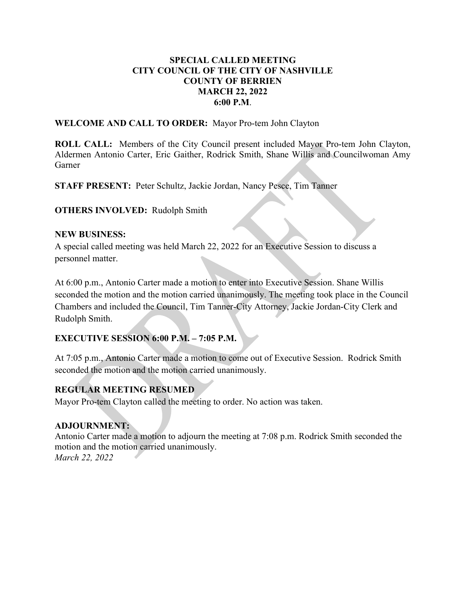#### SPECIAL CALLED MEETING CITY COUNCIL OF THE CITY OF NASHVILLE COUNTY OF BERRIEN MARCH 22, 2022 6:00 P.M.

WELCOME AND CALL TO ORDER: Mayor Pro-tem John Clayton

ROLL CALL: Members of the City Council present included Mayor Pro-tem John Clayton, Aldermen Antonio Carter, Eric Gaither, Rodrick Smith, Shane Willis and Councilwoman Amy Garner

STAFF PRESENT: Peter Schultz, Jackie Jordan, Nancy Pesce, Tim Tanner

#### OTHERS INVOLVED: Rudolph Smith

#### NEW BUSINESS:

A special called meeting was held March 22, 2022 for an Executive Session to discuss a personnel matter.

At 6:00 p.m., Antonio Carter made a motion to enter into Executive Session. Shane Willis seconded the motion and the motion carried unanimously. The meeting took place in the Council Chambers and included the Council, Tim Tanner-City Attorney, Jackie Jordan-City Clerk and Rudolph Smith.

# EXECUTIVE SESSION 6:00 P.M. – 7:05 P.M.

At 7:05 p.m., Antonio Carter made a motion to come out of Executive Session. Rodrick Smith seconded the motion and the motion carried unanimously.

# REGULAR MEETING RESUMED

Mayor Pro-tem Clayton called the meeting to order. No action was taken.

# ADJOURNMENT:

Antonio Carter made a motion to adjourn the meeting at 7:08 p.m. Rodrick Smith seconded the motion and the motion carried unanimously. March 22, 2022